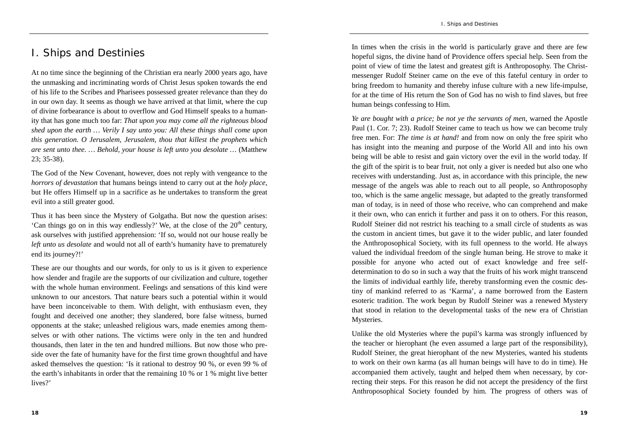## I. Ships and Destinies

At no time since the beginning of the Christian era nearly 2000 years ago, have the unmasking and incriminating words of Christ Jesus spoken towards the end of his life to the Scribes and Pharisees possessed greater relevance than they do in our own day. It seems as though we have arrived at that limit, where the cup of divine forbearance is about to overflow and God Himself speaks to a humanity that has gone much too far: *That upon you may come all the righteous blood shed upon the earth … Verily I say unto you: All these things shall come upon this generation. O Jerusalem, Jerusalem, thou that killest the prophets which are sent unto thee. … Behold, your house is left unto you desolate …* (Matthew 23; 35-38).

The God of the New Covenant, however, does not reply with vengeance to the *horrors of devastation* that humans beings intend to carry out at the *holy place*, but He offers Himself up in a sacrifice as he undertakes to transform the great evil into a still greater good.

Thus it has been since the Mystery of Golgatha. But now the question arises: 'Can things go on in this way endlessly?' We, at the close of the  $20<sup>th</sup>$  century, ask ourselves with justified apprehension: 'If so, would not our house really be *left unto us desolate* and would not all of earth's humanity have to prematurely end its journey?!'

These are our thoughts and our words, for only to us is it given to experience how slender and fragile are the supports of our civilization and culture, together with the whole human environment. Feelings and sensations of this kind were unknown to our ancestors. That nature bears such a potential within it would have been inconceivable to them. With delight, with enthusiasm even, they fought and deceived one another; they slandered, bore false witness, burned opponents at the stake; unleashed religious wars, made enemies among themselves or with other nations. The victims were only in the ten and hundred thousands, then later in the ten and hundred millions. But now those who preside over the fate of humanity have for the first time grown thoughtful and have asked themselves the question: 'Is it rational to destroy 90 %, or even 99 % of the earth's inhabitants in order that the remaining 10 % or 1 % might live better lives?'

In times when the crisis in the world is particularly grave and there are few hopeful signs, the divine hand of Providence offers special help. Seen from the point of view of time the latest and greatest gift is Anthroposophy. The Christmessenger Rudolf Steiner came on the eve of this fateful century in order to bring freedom to humanity and thereby infuse culture with a new life-impulse, for at the time of His return the Son of God has no wish to find slaves, but free human beings confessing to Him.

*Ye are bought with a price; be not ye the servants of men*, warned the Apostle Paul (1. Cor. 7; 23). Rudolf Steiner came to teach us how we can become truly free men. For: *The time is at hand!* and from now on only the free spirit who has insight into the meaning and purpose of the World All and into his own being will be able to resist and gain victory over the evil in the world today. If the gift of the spirit is to bear fruit, not only a giver is needed but also one who receives with understanding. Just as, in accordance with this principle, the new message of the angels was able to reach out to all people, so Anthroposophy too, which is the same angelic message, but adapted to the greatly transformed man of today, is in need of those who receive, who can comprehend and make it their own, who can enrich it further and pass it on to others. For this reason, Rudolf Steiner did not restrict his teaching to a small circle of students as was the custom in ancient times, but gave it to the wider public, and later founded the Anthroposophical Society, with its full openness to the world. He always valued the individual freedom of the single human being. He strove to make it possible for anyone who acted out of exact knowledge and free selfdetermination to do so in such a way that the fruits of his work might transcend the limits of individual earthly life, thereby transforming even the cosmic destiny of mankind referred to as 'Karma', a name borrowed from the Eastern esoteric tradition. The work begun by Rudolf Steiner was a renewed Mystery that stood in relation to the developmental tasks of the new era of Christian Mysteries.

Unlike the old Mysteries where the pupil's karma was strongly influenced by the teacher or hierophant (he even assumed a large part of the responsibility), Rudolf Steiner, the great hierophant of the new Mysteries, wanted his students to work on their own karma (as all human beings will have to do in time). He accompanied them actively, taught and helped them when necessary, by correcting their steps. For this reason he did not accept the presidency of the first Anthroposophical Society founded by him. The progress of others was of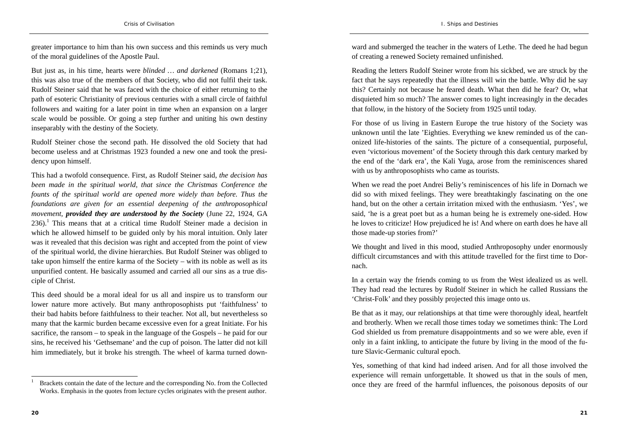greater importance to him than his own success and this reminds us very much of the moral guidelines of the Apostle Paul.

But just as, in his time, hearts were *blinded … and darkened* (Romans 1;21), this was also true of the members of that Society, who did not fulfil their task. Rudolf Steiner said that he was faced with the choice of either returning to the path of esoteric Christianity of previous centuries with a small circle of faithful followers and waiting for a later point in time when an expansion on a larger scale would be possible. Or going a step further and uniting his own destiny inseparably with the destiny of the Society.

Rudolf Steiner chose the second path. He dissolved the old Society that had become useless and at Christmas 1923 founded a new one and took the presidency upon himself.

This had a twofold consequence. First, as Rudolf Steiner said, *the decision has been made in the spiritual world, that since the Christmas Conference the founts of the spiritual world are opened more widely than before. Thus the foundations are given for an essential deepening of the anthroposophical movement, provided they are understood by the Society* (June 22, 1924, GA  $236$ .<sup>1</sup> This means that at a critical time Rudolf Steiner made a decision in which he allowed himself to be guided only by his moral intuition. Only later was it revealed that this decision was right and accepted from the point of view of the spiritual world, the divine hierarchies. But Rudolf Steiner was obliged to take upon himself the entire karma of the Society – with its noble as well as its unpurified content. He basically assumed and carried all our sins as a true disciple of Christ.

This deed should be a moral ideal for us all and inspire us to transform our lower nature more actively. But many anthroposophists put 'faithfulness' to their bad habits before faithfulness to their teacher. Not all, but nevertheless so many that the karmic burden became excessive even for a great Initiate. For his sacrifice, the ransom – to speak in the language of the Gospels – he paid for our sins, he received his 'Gethsemane' and the cup of poison. The latter did not kill him immediately, but it broke his strength. The wheel of karma turned downward and submerged the teacher in the waters of Lethe. The deed he had begun of creating a renewed Society remained unfinished.

Reading the letters Rudolf Steiner wrote from his sickbed, we are struck by the fact that he says repeatedly that the illness will win the battle. Why did he say this? Certainly not because he feared death. What then did he fear? Or, what disquieted him so much? The answer comes to light increasingly in the decades that follow, in the history of the Society from 1925 until today.

For those of us living in Eastern Europe the true history of the Society was unknown until the late 'Eighties. Everything we knew reminded us of the canonized life-histories of the saints. The picture of a consequential, purposeful, even 'victorious movement' of the Society through this dark century marked by the end of the 'dark era', the Kali Yuga, arose from the reminiscences shared with us by anthroposophists who came as tourists.

When we read the poet Andrei Beliy's reminiscences of his life in Dornach we did so with mixed feelings. They were breathtakingly fascinating on the one hand, but on the other a certain irritation mixed with the enthusiasm. 'Yes', we said, 'he is a great poet but as a human being he is extremely one-sided. How he loves to criticize! How prejudiced he is! And where on earth does he have all those made-up stories from?'

We thought and lived in this mood, studied Anthroposophy under enormously difficult circumstances and with this attitude travelled for the first time to Dornach.

In a certain way the friends coming to us from the West idealized us as well. They had read the lectures by Rudolf Steiner in which he called Russians the 'Christ-Folk' and they possibly projected this image onto us.

Be that as it may, our relationships at that time were thoroughly ideal, heartfelt and brotherly. When we recall those times today we sometimes think: The Lord God shielded us from premature disappointments and so we were able, even if only in a faint inkling, to anticipate the future by living in the mood of the future Slavic-Germanic cultural epoch.

<sup>1</sup> Brackets contain the date of the lecture and the corresponding No. from the Collected Works. Emphasis in the quotes from lecture cycles originates with the present author.

Yes, something of that kind had indeed arisen. And for all those involved the experience will remain unforgettable. It showed us that in the souls of men, once they are freed of the harmful influences, the poisonous deposits of our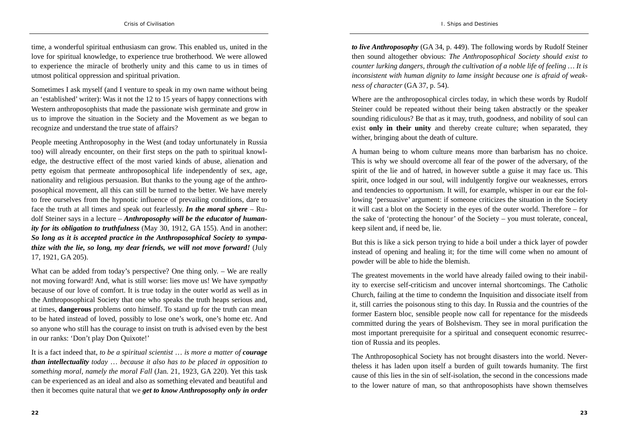time, a wonderful spiritual enthusiasm can grow. This enabled us, united in the love for spiritual knowledge, to experience true brotherhood. We were allowed to experience the miracle of brotherly unity and this came to us in times of utmost political oppression and spiritual privation.

Sometimes I ask myself (and I venture to speak in my own name without being an 'established' writer): Was it not the 12 to 15 years of happy connections with Western anthroposophists that made the passionate wish germinate and grow in us to improve the situation in the Society and the Movement as we began to recognize and understand the true state of affairs?

People meeting Anthroposophy in the West (and today unfortunately in Russia too) will already encounter, on their first steps on the path to spiritual knowledge, the destructive effect of the most varied kinds of abuse, alienation and petty egoism that permeate anthroposophical life independently of sex, age, nationality and religious persuasion. But thanks to the young age of the anthroposophical movement, all this can still be turned to the better. We have merely to free ourselves from the hypnotic influence of prevailing conditions, dare to face the truth at all times and speak out fearlessly. *In the moral sphere* – Rudolf Steiner says in a lecture – *Anthroposophy will be the educator of humanity for its obligation to truthfulness* (May 30, 1912, GA 155). And in another: *So long as it is accepted practice in the Anthroposophical Society to sympathize with the lie, so long, my dear friends, we will not move forward!* (July 17, 1921, GA 205).

What can be added from today's perspective? One thing only. – We are really not moving forward! And, what is still worse: lies move us! We have *sympathy* because of our love of comfort. It is true today in the outer world as well as in the Anthroposophical Society that one who speaks the truth heaps serious and, at times, **dangerous** problems onto himself. To stand up for the truth can mean to be hated instead of loved, possibly to lose one's work, one's home etc. And so anyone who still has the courage to insist on truth is advised even by the best in our ranks: 'Don't play Don Quixote!'

It is a fact indeed that, *to be a spiritual scientist* … *is more a matter of courage than intellectuality today* … *because it also has to be placed in opposition to something moral, namely the moral Fall* (Jan. 21, 1923, GA 220). Yet this task can be experienced as an ideal and also as something elevated and beautiful and then it becomes quite natural that we *get to know Anthroposophy only in order*  *to live Anthroposophy* (GA 34, p. 449). The following words by Rudolf Steiner then sound altogether obvious: *The Anthroposophical Society should exist to counter lurking dangers, through the cultivation of a noble life of feeling … It is inconsistent with human dignity to lame insight because one is afraid of weakness of character* (GA 37, p. 54).

Where are the anthroposophical circles today, in which these words by Rudolf Steiner could be repeated without their being taken abstractly or the speaker sounding ridiculous? Be that as it may, truth, goodness, and nobility of soul can exist **only in their unity** and thereby create culture; when separated, they wither, bringing about the death of culture.

A human being to whom culture means more than barbarism has no choice. This is why we should overcome all fear of the power of the adversary, of the spirit of the lie and of hatred, in however subtle a guise it may face us. This spirit, once lodged in our soul, will indulgently forgive our weaknesses, errors and tendencies to opportunism. It will, for example, whisper in our ear the following 'persuasive' argument: if someone criticizes the situation in the Society it will cast a blot on the Society in the eyes of the outer world. Therefore – for the sake of 'protecting the honour' of the Society – you must tolerate, conceal, keep silent and, if need be, lie.

But this is like a sick person trying to hide a boil under a thick layer of powder instead of opening and healing it; for the time will come when no amount of powder will be able to hide the blemish.

The greatest movements in the world have already failed owing to their inability to exercise self-criticism and uncover internal shortcomings. The Catholic Church, failing at the time to condemn the Inquisition and dissociate itself from it, still carries the poisonous sting to this day. In Russia and the countries of the former Eastern bloc, sensible people now call for repentance for the misdeeds committed during the years of Bolshevism. They see in moral purification the most important prerequisite for a spiritual and consequent economic resurrection of Russia and its peoples.

The Anthroposophical Society has not brought disasters into the world. Nevertheless it has laden upon itself a burden of guilt towards humanity. The first cause of this lies in the sin of self-isolation, the second in the concessions made to the lower nature of man, so that anthroposophists have shown themselves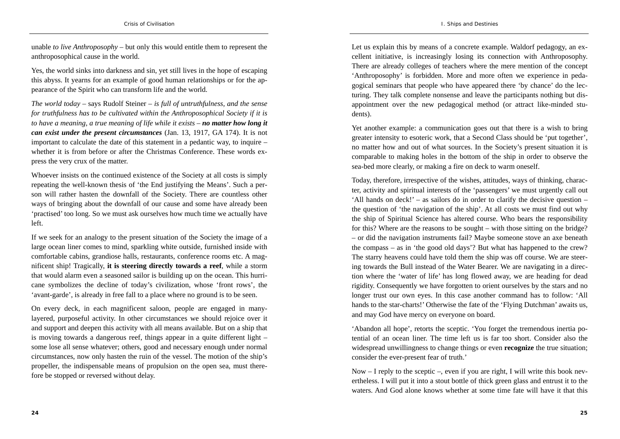unable *to live Anthroposophy* – but only this would entitle them to represent the anthroposophical cause in the world.

Yes, the world sinks into darkness and sin, yet still lives in the hope of escaping this abyss. It yearns for an example of good human relationships or for the appearance of the Spirit who can transform life and the world.

*The world today* – says Rudolf Steiner – *is full of untruthfulness, and the sense for truthfulness has to be cultivated within the Anthroposophical Society if it is to have a meaning, a true meaning of life while it exists – no matter how long it can exist under the present circumstances* (Jan. 13, 1917, GA 174). It is not important to calculate the date of this statement in a pedantic way, to inquire – whether it is from before or after the Christmas Conference. These words express the very crux of the matter.

Whoever insists on the continued existence of the Society at all costs is simply repeating the well-known thesis of 'the End justifying the Means'. Such a person will rather hasten the downfall of the Society. There are countless other ways of bringing about the downfall of our cause and some have already been 'practised' too long. So we must ask ourselves how much time we actually have left.

If we seek for an analogy to the present situation of the Society the image of a large ocean liner comes to mind, sparkling white outside, furnished inside with comfortable cabins, grandiose halls, restaurants, conference rooms etc. A magnificent ship! Tragically, **it is steering directly towards a reef**, while a storm that would alarm even a seasoned sailor is building up on the ocean. This hurricane symbolizes the decline of today's civilization, whose 'front rows', the 'avant-garde', is already in free fall to a place where no ground is to be seen.

On every deck, in each magnificent saloon, people are engaged in manylayered, purposeful activity. In other circumstances we should rejoice over it and support and deepen this activity with all means available. But on a ship that is moving towards a dangerous reef, things appear in a quite different light – some lose all sense whatever; others, good and necessary enough under normal circumstances, now only hasten the ruin of the vessel. The motion of the ship's propeller, the indispensable means of propulsion on the open sea, must therefore be stopped or reversed without delay.

Let us explain this by means of a concrete example. Waldorf pedagogy, an excellent initiative, is increasingly losing its connection with Anthroposophy. There are already colleges of teachers where the mere mention of the concept 'Anthroposophy' is forbidden. More and more often we experience in pedagogical seminars that people who have appeared there 'by chance' do the lecturing. They talk complete nonsense and leave the participants nothing but disappointment over the new pedagogical method (or attract like-minded students).

Yet another example: a communication goes out that there is a wish to bring greater intensity to esoteric work, that a Second Class should be 'put together', no matter how and out of what sources. In the Society's present situation it is comparable to making holes in the bottom of the ship in order to observe the sea-bed more clearly, or making a fire on deck to warm oneself.

Today, therefore, irrespective of the wishes, attitudes, ways of thinking, character, activity and spiritual interests of the 'passengers' we must urgently call out 'All hands on deck!' – as sailors do in order to clarify the decisive question – the question of 'the navigation of the ship'. At all costs we must find out why the ship of Spiritual Science has altered course. Who bears the responsibility for this? Where are the reasons to be sought – with those sitting on the bridge? – or did the navigation instruments fail? Maybe someone stove an axe beneath the compass – as in 'the good old days'? But what has happened to the crew? The starry heavens could have told them the ship was off course. We are steering towards the Bull instead of the Water Bearer. We are navigating in a direction where the 'water of life' has long flowed away, we are heading for dead rigidity. Consequently we have forgotten to orient ourselves by the stars and no longer trust our own eyes. In this case another command has to follow: 'All hands to the star-charts!' Otherwise the fate of the 'Flying Dutchman' awaits us, and may God have mercy on everyone on board.

'Abandon all hope', retorts the sceptic. 'You forget the tremendous inertia potential of an ocean liner. The time left us is far too short. Consider also the widespread unwillingness to change things or even **recognize** the true situation; consider the ever-present fear of truth.'

Now – I reply to the sceptic –, even if you are right, I will write this book nevertheless. I will put it into a stout bottle of thick green glass and entrust it to the waters. And God alone knows whether at some time fate will have it that this